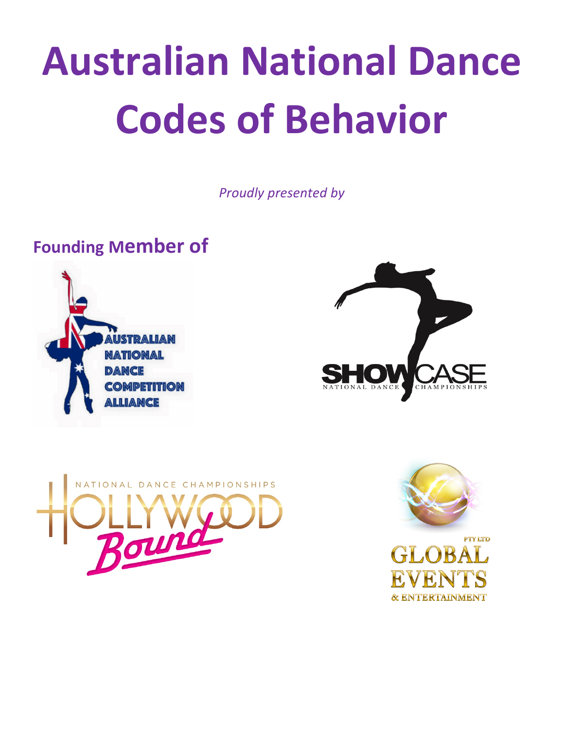# **Australian National Dance Codes of Behavior**

*Proudly presented by*

# **Founding Member of**







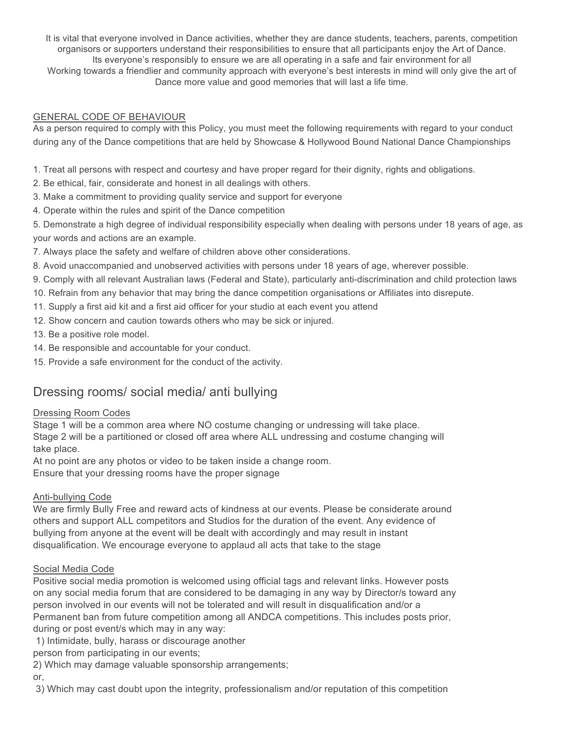It is vital that everyone involved in Dance activities, whether they are dance students, teachers, parents, competition organisors or supporters understand their responsibilities to ensure that all participants enjoy the Art of Dance. Its everyone's responsibly to ensure we are all operating in a safe and fair environment for all Working towards a friendlier and community approach with everyone's best interests in mind will only give the art of Dance more value and good memories that will last a life time.

#### GENERAL CODE OF BEHAVIOUR

As a person required to comply with this Policy, you must meet the following requirements with regard to your conduct during any of the Dance competitions that are held by Showcase & Hollywood Bound National Dance Championships

1. Treat all persons with respect and courtesy and have proper regard for their dignity, rights and obligations.

2. Be ethical, fair, considerate and honest in all dealings with others.

- 3. Make a commitment to providing quality service and support for everyone
- 4. Operate within the rules and spirit of the Dance competition

5. Demonstrate a high degree of individual responsibility especially when dealing with persons under 18 years of age, as your words and actions are an example.

- 7. Always place the safety and welfare of children above other considerations.
- 8. Avoid unaccompanied and unobserved activities with persons under 18 years of age, wherever possible.
- 9. Comply with all relevant Australian laws (Federal and State), particularly anti-discrimination and child protection laws
- 10. Refrain from any behavior that may bring the dance competition organisations or Affiliates into disrepute.
- 11. Supply a first aid kit and a first aid officer for your studio at each event you attend
- 12. Show concern and caution towards others who may be sick or injured.
- 13. Be a positive role model.
- 14. Be responsible and accountable for your conduct.
- 15. Provide a safe environment for the conduct of the activity.

# Dressing rooms/ social media/ anti bullying

#### Dressing Room Codes

Stage 1 will be a common area where NO costume changing or undressing will take place. Stage 2 will be a partitioned or closed off area where ALL undressing and costume changing will take place.

At no point are any photos or video to be taken inside a change room.

Ensure that your dressing rooms have the proper signage

#### Anti-bullying Code

We are firmly Bully Free and reward acts of kindness at our events. Please be considerate around others and support ALL competitors and Studios for the duration of the event. Any evidence of bullying from anyone at the event will be dealt with accordingly and may result in instant disqualification. We encourage everyone to applaud all acts that take to the stage

#### Social Media Code

Positive social media promotion is welcomed using official tags and relevant links. However posts on any social media forum that are considered to be damaging in any way by Director/s toward any person involved in our events will not be tolerated and will result in disqualification and/or a Permanent ban from future competition among all ANDCA competitions. This includes posts prior, during or post event/s which may in any way:

1) Intimidate, bully, harass or discourage another

person from participating in our events;

2) Which may damage valuable sponsorship arrangements;

or,

3) Which may cast doubt upon the integrity, professionalism and/or reputation of this competition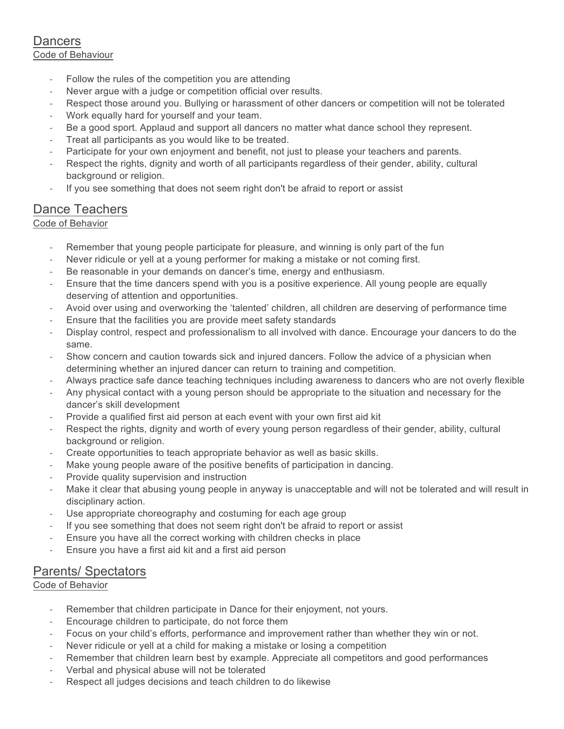#### **Dancers** Code of Behaviour

- Follow the rules of the competition you are attending
- Never argue with a judge or competition official over results.
- Respect those around you. Bullying or harassment of other dancers or competition will not be tolerated
- Work equally hard for yourself and your team.
- Be a good sport. Applaud and support all dancers no matter what dance school they represent.
- Treat all participants as you would like to be treated.
- Participate for your own enjoyment and benefit, not just to please your teachers and parents.
- Respect the rights, dignity and worth of all participants regardless of their gender, ability, cultural background or religion.
- If you see something that does not seem right don't be afraid to report or assist

## Dance Teachers

Code of Behavior

- Remember that young people participate for pleasure, and winning is only part of the fun
- Never ridicule or yell at a young performer for making a mistake or not coming first.
- Be reasonable in your demands on dancer's time, energy and enthusiasm.
- Ensure that the time dancers spend with you is a positive experience. All young people are equally deserving of attention and opportunities.
- Avoid over using and overworking the 'talented' children, all children are deserving of performance time
- Ensure that the facilities you are provide meet safety standards
- Display control, respect and professionalism to all involved with dance. Encourage your dancers to do the same.
- Show concern and caution towards sick and injured dancers. Follow the advice of a physician when determining whether an injured dancer can return to training and competition.
- Always practice safe dance teaching techniques including awareness to dancers who are not overly flexible
- Any physical contact with a young person should be appropriate to the situation and necessary for the dancer's skill development
- Provide a qualified first aid person at each event with your own first aid kit
- Respect the rights, dignity and worth of every young person regardless of their gender, ability, cultural background or religion.
- Create opportunities to teach appropriate behavior as well as basic skills.
- Make young people aware of the positive benefits of participation in dancing.
- Provide quality supervision and instruction
- Make it clear that abusing young people in anyway is unacceptable and will not be tolerated and will result in disciplinary action.
- Use appropriate choreography and costuming for each age group
- If you see something that does not seem right don't be afraid to report or assist
- Ensure you have all the correct working with children checks in place
- Ensure you have a first aid kit and a first aid person

### Parents/ Spectators

#### Code of Behavior

- Remember that children participate in Dance for their enjoyment, not yours.
- Encourage children to participate, do not force them
- Focus on your child's efforts, performance and improvement rather than whether they win or not.
- Never ridicule or yell at a child for making a mistake or losing a competition
- Remember that children learn best by example. Appreciate all competitors and good performances
- Verbal and physical abuse will not be tolerated
- Respect all judges decisions and teach children to do likewise